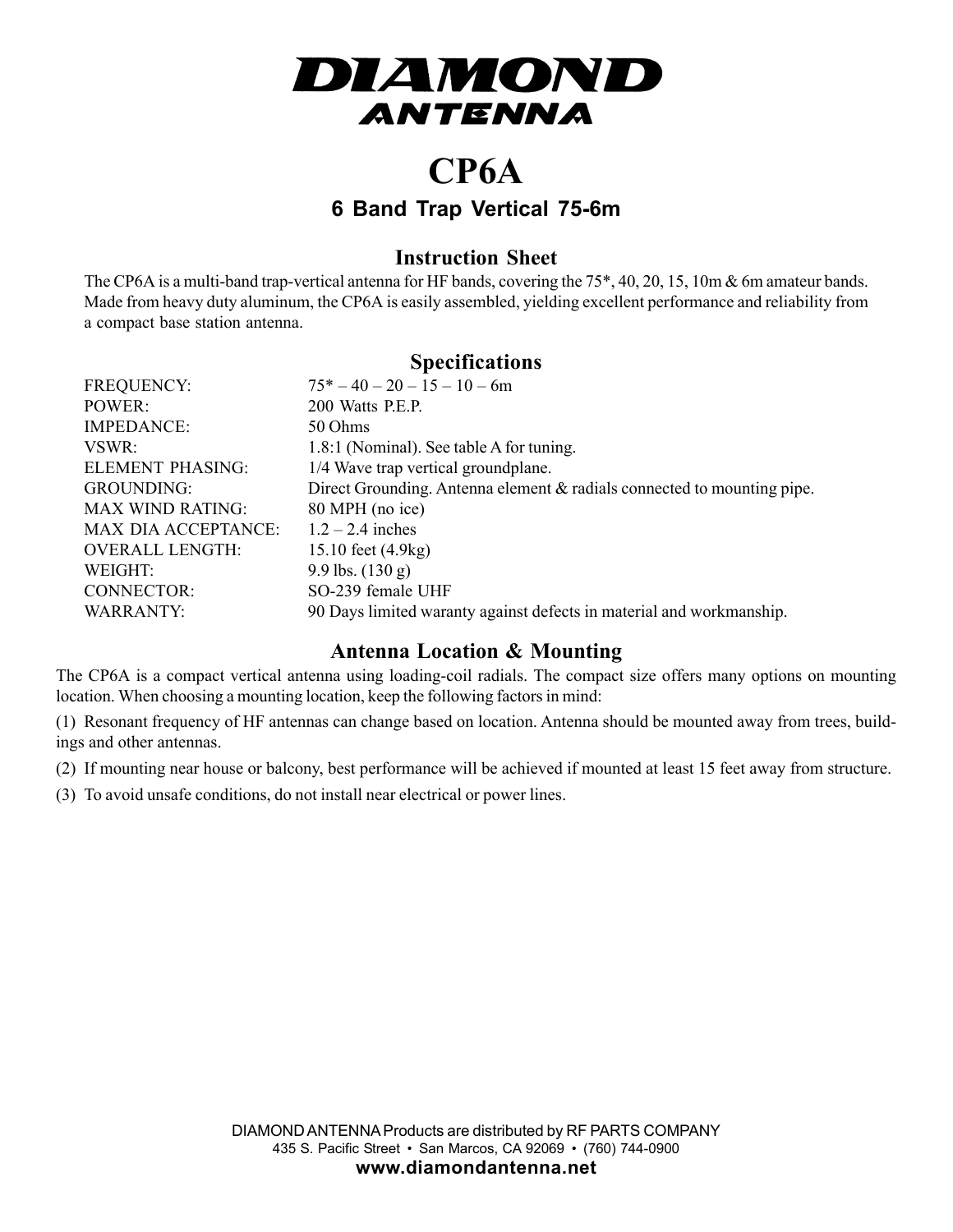

## **CP6A 6 Band Trap Vertical 75-6m**

#### **Instruction Sheet**

The CP6A is a multi-band trap-vertical antenna for HF bands, covering the 75\*, 40, 20, 15, 10m & 6m amateur bands. Made from heavy duty aluminum, the CP6A is easily assembled, yielding excellent performance and reliability from a compact base station antenna.

### **Specifications**

| <b>FREQUENCY:</b>          | $75^* - 40 - 20 - 15 - 10 - 6m$                                            |
|----------------------------|----------------------------------------------------------------------------|
| POWER:                     | 200 Watts P.E.P.                                                           |
| <b>IMPEDANCE:</b>          | 50 Ohms                                                                    |
| VSWR:                      | 1.8:1 (Nominal). See table A for tuning.                                   |
| <b>ELEMENT PHASING:</b>    | 1/4 Wave trap vertical groundplane.                                        |
| <b>GROUNDING:</b>          | Direct Grounding. Antenna element $\&$ radials connected to mounting pipe. |
| <b>MAX WIND RATING:</b>    | 80 MPH (no ice)                                                            |
| <b>MAX DIA ACCEPTANCE:</b> | $1.2 - 2.4$ inches                                                         |
| <b>OVERALL LENGTH:</b>     | 15.10 feet (4.9 kg)                                                        |
| WEIGHT:                    | 9.9 lbs. $(130 g)$                                                         |
| CONNECTOR:                 | SO-239 female UHF                                                          |
| WARRANTY:                  | 90 Days limited waranty against defects in material and workmanship.       |

#### **Antenna Location & Mounting**

The CP6A is a compact vertical antenna using loading-coil radials. The compact size offers many options on mounting location. When choosing a mounting location, keep the following factors in mind:

(1) Resonant frequency of HF antennas can change based on location. Antenna should be mounted away from trees, buildings and other antennas.

(2) If mounting near house or balcony, best performance will be achieved if mounted at least 15 feet away from structure.

(3) To avoid unsafe conditions, do not install near electrical or power lines.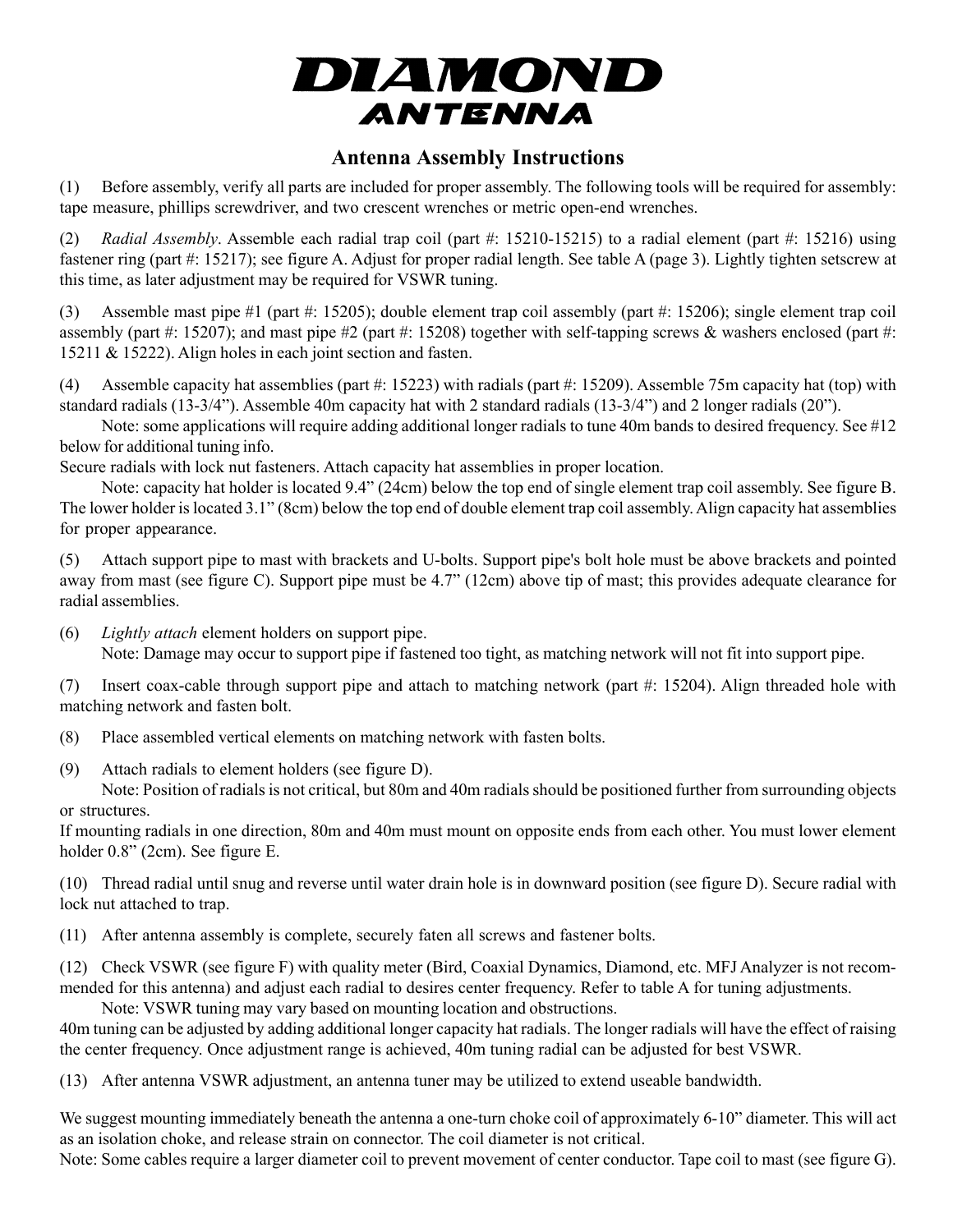

#### **Antenna Assembly Instructions**

(1) Before assembly, verify all parts are included for proper assembly. The following tools will be required for assembly: tape measure, phillips screwdriver, and two crescent wrenches or metric open-end wrenches.

(2) *Radial Assembly*. Assemble each radial trap coil (part #: 15210-15215) to a radial element (part #: 15216) using fastener ring (part #: 15217); see figure A. Adjust for proper radial length. See table A (page 3). Lightly tighten setscrew at this time, as later adjustment may be required for VSWR tuning.

(3) Assemble mast pipe #1 (part #: 15205); double element trap coil assembly (part #: 15206); single element trap coil assembly (part #: 15207); and mast pipe #2 (part #: 15208) together with self-tapping screws  $\&$  washers enclosed (part #: 15211 & 15222). Align holes in each joint section and fasten.

Assemble capacity hat assemblies (part  $\#$ : 15223) with radials (part  $\#$ : 15209). Assemble 75m capacity hat (top) with standard radials (13-3/4"). Assemble 40m capacity hat with 2 standard radials (13-3/4") and 2 longer radials (20").

Note: some applications will require adding additional longer radials to tune 40m bands to desired frequency. See #12 below for additional tuning info.

Secure radials with lock nut fasteners. Attach capacity hat assemblies in proper location.

Note: capacity hat holder is located 9.4" (24cm) below the top end of single element trap coil assembly. See figure B. The lower holder is located 3.1" (8cm) below the top end of double element trap coil assembly. Align capacity hat assemblies for proper appearance.

(5) Attach support pipe to mast with brackets and U-bolts. Support pipe's bolt hole must be above brackets and pointed away from mast (see figure C). Support pipe must be 4.7" (12cm) above tip of mast; this provides adequate clearance for radial assemblies.

(6) *Lightly attach* element holders on support pipe. Note: Damage may occur to support pipe if fastened too tight, as matching network will not fit into support pipe.

(7) Insert coax-cable through support pipe and attach to matching network (part #: 15204). Align threaded hole with matching network and fasten bolt.

(8) Place assembled vertical elements on matching network with fasten bolts.

(9) Attach radials to element holders (see figure D).

Note: Position of radials is not critical, but 80m and 40m radials should be positioned further from surrounding objects or structures.

If mounting radials in one direction, 80m and 40m must mount on opposite ends from each other. You must lower element holder 0.8" (2cm). See figure E.

(10) Thread radial until snug and reverse until water drain hole is in downward position (see figure D). Secure radial with lock nut attached to trap.

(11) After antenna assembly is complete, securely faten all screws and fastener bolts.

(12) Check VSWR (see figure F) with quality meter (Bird, Coaxial Dynamics, Diamond, etc. MFJ Analyzer is not recommended for this antenna) and adjust each radial to desires center frequency. Refer to table A for tuning adjustments.

Note: VSWR tuning may vary based on mounting location and obstructions. 40m tuning can be adjusted by adding additional longer capacity hat radials. The longer radials will have the effect of raising the center frequency. Once adjustment range is achieved, 40m tuning radial can be adjusted for best VSWR.

(13) After antenna VSWR adjustment, an antenna tuner may be utilized to extend useable bandwidth.

We suggest mounting immediately beneath the antenna a one-turn choke coil of approximately 6-10" diameter. This will act as an isolation choke, and release strain on connector. The coil diameter is not critical.

Note: Some cables require a larger diameter coil to prevent movement of center conductor. Tape coil to mast (see figure G).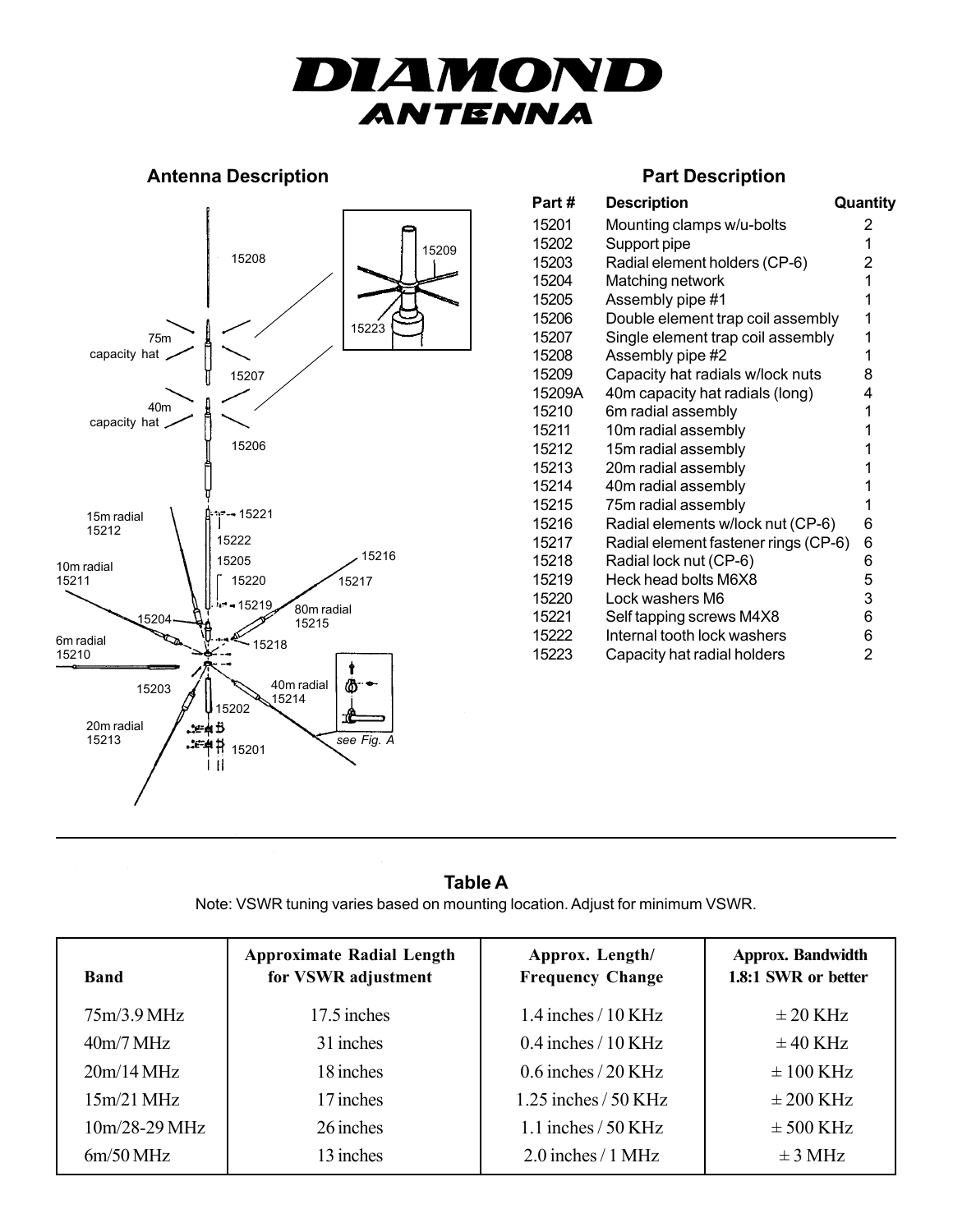# DIAMOND **ANTENNA**

#### **Antenna Description Antenna Description**



| Part#  | <b>Description</b>                   | Quantity |
|--------|--------------------------------------|----------|
|        |                                      |          |
| 15201  | Mounting clamps w/u-bolts            | 2        |
| 15202  | Support pipe                         | 1        |
| 15203  | Radial element holders (CP-6)        | 2        |
| 15204  | Matching network                     | 1        |
| 15205  | Assembly pipe #1                     | 1        |
| 15206  | Double element trap coil assembly    | 1        |
| 15207  | Single element trap coil assembly    | 1        |
| 15208  | Assembly pipe #2                     | 1        |
| 15209  | Capacity hat radials w/lock nuts     | 8        |
| 15209A | 40m capacity hat radials (long)      | 4        |
| 15210  | 6m radial assembly                   | 1        |
| 15211  | 10m radial assembly                  | 1        |
| 15212  | 15m radial assembly                  | 1        |
| 15213  | 20m radial assembly                  | 1        |
| 15214  | 40m radial assembly                  | 1        |
| 15215  | 75m radial assembly                  | 1        |
| 15216  | Radial elements w/lock nut (CP-6)    | 6        |
| 15217  | Radial element fastener rings (CP-6) | 6        |
| 15218  | Radial lock nut (CP-6)               | 6        |
| 15219  | Heck head bolts M6X8                 | 5        |
| 15220  | Lock washers M6                      | 3        |
| 15221  | Self tapping screws M4X8             | 6        |
| 15222  | Internal tooth lock washers          | 6        |
| 15223  | Capacity hat radial holders          | 2        |

#### **Table A** Note: VSWR tuning varies based on mounting location. Adjust for minimum VSWR.

| <b>Band</b>            | <b>Approximate Radial Length</b><br>for VSWR adjustment | Approx. Length/<br><b>Frequency Change</b> | <b>Approx. Bandwidth</b><br>1.8:1 SWR or better |
|------------------------|---------------------------------------------------------|--------------------------------------------|-------------------------------------------------|
| 75m/3.9MHz             | 17.5 inches                                             | $1.4$ inches $/10$ KHz                     | $\pm$ 20 KHz                                    |
| $40m/7 \,\mathrm{MHz}$ | 31 inches                                               | $0.4$ inches $/10$ KHz                     | $\pm$ 40 KHz                                    |
| 20m/14 MHz             | 18 inches                                               | $0.6$ inches $/20$ KHz                     | $\pm 100$ KHz                                   |
| $15m/21$ MHz           | 17 inches                                               | $1.25$ inches $/50$ KHz                    | $\pm 200$ KHz                                   |
| $10m/28-29 MHz$        | 26 inches                                               | 1.1 inches $/$ 50 KHz                      | $\pm$ 500 KHz                                   |
| $6m/50$ MHz            | 13 inches                                               | $2.0$ inches $/1$ MHz                      | $\pm$ 3 MHz                                     |